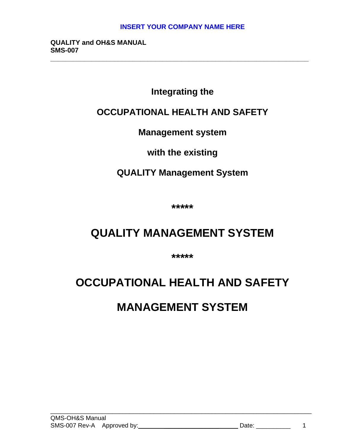**\_\_\_\_\_\_\_\_\_\_\_\_\_\_\_\_\_\_\_\_\_\_\_\_\_\_\_\_\_\_\_\_\_\_\_\_\_\_\_\_\_\_\_\_\_\_\_\_\_\_\_\_\_\_\_\_\_\_\_\_\_\_\_\_\_\_\_\_\_**

**QUALITY and OH&S MANUAL SMS-007**

# **Integrating the**

# **OCCUPATIONAL HEALTH AND SAFETY**

# **Management system**

# **with the existing**

# **QUALITY Management System**

**\*\*\*\*\***

# **QUALITY MANAGEMENT SYSTEM**

**\*\*\*\*\***

# **OCCUPATIONAL HEALTH AND SAFETY**

# **MANAGEMENT SYSTEM**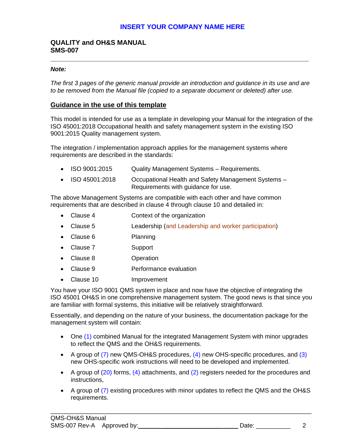### **QUALITY and OH&S MANUAL SMS-007**

#### *Note:*

*The first 3 pages of the generic manual provide an introduction and guidance in its use and are to be removed from the Manual file (copied to a separate document or deleted) after use.* 

**\_\_\_\_\_\_\_\_\_\_\_\_\_\_\_\_\_\_\_\_\_\_\_\_\_\_\_\_\_\_\_\_\_\_\_\_\_\_\_\_\_\_\_\_\_\_\_\_\_\_\_\_\_\_\_\_\_\_\_\_\_\_\_\_\_\_\_\_\_**

## **Guidance in the use of this template**

This model is intended for use as a template in developing your Manual for the integration of the ISO 45001:2018 Occupational health and safety management system in the existing ISO 9001:2015 Quality management system.

The integration / implementation approach applies for the management systems where requirements are described in the standards:

- ISO 9001:2015 Quality Management Systems Requirements.
- ISO 45001:2018 Occupational Health and Safety Management Systems -Requirements with guidance for use.

The above Management Systems are compatible with each other and have common requirements that are described in clause 4 through clause 10 and detailed in:

- Clause 4 Context of the organization
- Clause 5 Leadership (and Leadership and worker participation)
- Clause 6 Planning
- Clause 7 Support
- Clause 8 Operation
- Clause 9 Performance evaluation
- Clause 10 Improvement

You have your ISO 9001 QMS system in place and now have the objective of integrating the ISO 45001 OH&S in one comprehensive management system. The good news is that since you are familiar with formal systems, this initiative will be relatively straightforward.

Essentially, and depending on the nature of your business, the documentation package for the management system will contain:

- One (1) combined Manual for the integrated Management System with minor upgrades to reflect the QMS and the OH&S requirements.
- A group of  $(7)$  new QMS-OH&S procedures,  $(4)$  new OHS-specific procedures, and  $(3)$ new OHS-specific work instructions will need to be developed and implemented.
- A group of (20) forms, (4) attachments, and (2) registers needed for the procedures and instructions,
- A group of (7) existing procedures with minor updates to reflect the QMS and the OH&S requirements.

\_\_\_\_\_\_\_\_\_\_\_\_\_\_\_\_\_\_\_\_\_\_\_\_\_\_\_\_\_\_\_\_\_\_\_\_\_\_\_\_\_\_\_\_\_\_\_\_\_\_\_\_\_\_\_\_\_\_\_\_\_\_\_\_\_\_\_\_\_\_\_\_\_\_\_\_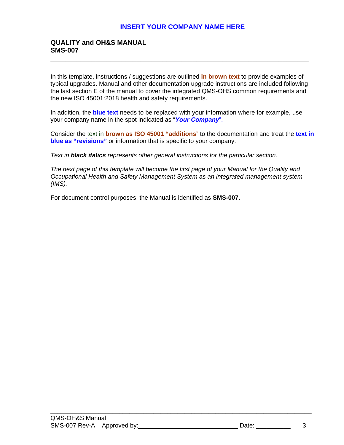# **QUALITY and OH&S MANUAL SMS-007**

In this template, instructions / suggestions are outlined **in brown text** to provide examples of typical upgrades. Manual and other documentation upgrade instructions are included following the last section E of the manual to cover the integrated QMS-OHS common requirements and the new ISO 45001:2018 health and safety requirements.

**\_\_\_\_\_\_\_\_\_\_\_\_\_\_\_\_\_\_\_\_\_\_\_\_\_\_\_\_\_\_\_\_\_\_\_\_\_\_\_\_\_\_\_\_\_\_\_\_\_\_\_\_\_\_\_\_\_\_\_\_\_\_\_\_\_\_\_\_\_**

In addition, the **blue text** needs to be replaced with your information where for example, use your company name in the spot indicated as "*Your Company*".

Consider the text in **brown as ISO 45001 "additions**" to the documentation and treat the **text in blue as "revisions"** or information that is specific to your company.

*Text in black italics represents other general instructions for the particular section.*

*The next page of this template will become the first page of your Manual for the Quality and Occupational Health and Safety Management System as an integrated management system (IMS).*

\_\_\_\_\_\_\_\_\_\_\_\_\_\_\_\_\_\_\_\_\_\_\_\_\_\_\_\_\_\_\_\_\_\_\_\_\_\_\_\_\_\_\_\_\_\_\_\_\_\_\_\_\_\_\_\_\_\_\_\_\_\_\_\_\_\_\_\_\_\_\_\_\_\_\_\_

For document control purposes, the Manual is identified as **SMS-007**.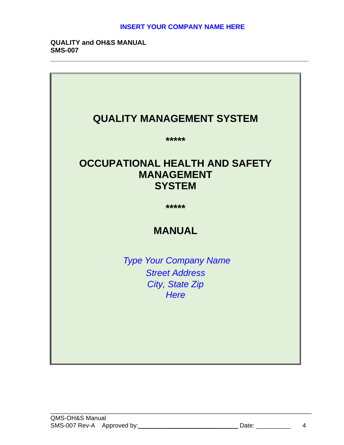**\_\_\_\_\_\_\_\_\_\_\_\_\_\_\_\_\_\_\_\_\_\_\_\_\_\_\_\_\_\_\_\_\_\_\_\_\_\_\_\_\_\_\_\_\_\_\_\_\_\_\_\_\_\_\_\_\_\_\_\_\_\_\_\_\_\_\_\_\_**

### **QUALITY and OH&S MANUAL SMS-007**



\_\_\_\_\_\_\_\_\_\_\_\_\_\_\_\_\_\_\_\_\_\_\_\_\_\_\_\_\_\_\_\_\_\_\_\_\_\_\_\_\_\_\_\_\_\_\_\_\_\_\_\_\_\_\_\_\_\_\_\_\_\_\_\_\_\_\_\_\_\_\_\_\_\_\_\_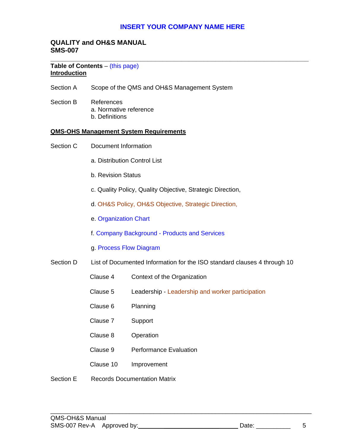## **QUALITY and OH&S MANUAL SMS-007**

#### **\_\_\_\_\_\_\_\_\_\_\_\_\_\_\_\_\_\_\_\_\_\_\_\_\_\_\_\_\_\_\_\_\_\_\_\_\_\_\_\_\_\_\_\_\_\_\_\_\_\_\_\_\_\_\_\_\_\_\_\_\_\_\_\_\_\_\_\_\_ Table of Contents** – (this page) **Introduction**

- Section A Scope of the QMS and OH&S Management System
- Section B References a. Normative reference b. Definitions

#### **QMS-OHS Management System Requirements**

- Section C Document Information
	- a. Distribution Control List
	- b. Revision Status
	- c. Quality Policy, Quality Objective, Strategic Direction,
	- d. OH&S Policy, OH&S Objective, Strategic Direction,
	- e. Organization Chart
	- f. Company Background Products and Services
	- g. Process Flow Diagram
- Section D List of Documented Information for the ISO standard clauses 4 through 10
	- Clause 4 Context of the Organization
	- Clause 5 Leadership Leadership and worker participation

\_\_\_\_\_\_\_\_\_\_\_\_\_\_\_\_\_\_\_\_\_\_\_\_\_\_\_\_\_\_\_\_\_\_\_\_\_\_\_\_\_\_\_\_\_\_\_\_\_\_\_\_\_\_\_\_\_\_\_\_\_\_\_\_\_\_\_\_\_\_\_\_\_\_\_\_

- Clause 6 Planning
- Clause 7 Support
- Clause 8 Operation
- Clause 9 Performance Evaluation
- Clause 10 Improvement
- Section E Records Documentation Matrix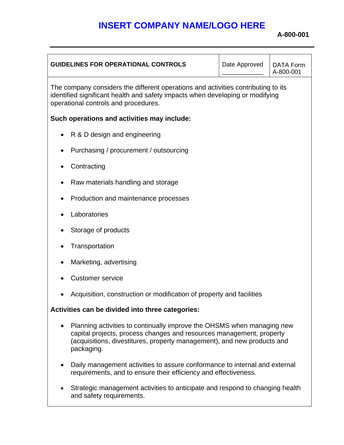# **INSERT COMPANY NAME/LOGO HERE**

**A-800-001**

| <b>GUIDELINES FOR OPERATIONAL CONTROLS</b>                                                                                                                                                                                                           | Date Approved | <b>DATA Form</b><br>A-800-001 |  |
|------------------------------------------------------------------------------------------------------------------------------------------------------------------------------------------------------------------------------------------------------|---------------|-------------------------------|--|
| The company considers the different operations and activities contributing to its<br>identified significant health and safety impacts when developing or modifying<br>operational controls and procedures.                                           |               |                               |  |
| Such operations and activities may include:                                                                                                                                                                                                          |               |                               |  |
| R & D design and engineering                                                                                                                                                                                                                         |               |                               |  |
| Purchasing / procurement / outsourcing                                                                                                                                                                                                               |               |                               |  |
| Contracting                                                                                                                                                                                                                                          |               |                               |  |
| Raw materials handling and storage                                                                                                                                                                                                                   |               |                               |  |
| Production and maintenance processes                                                                                                                                                                                                                 |               |                               |  |
| Laboratories                                                                                                                                                                                                                                         |               |                               |  |
| Storage of products                                                                                                                                                                                                                                  |               |                               |  |
| Transportation                                                                                                                                                                                                                                       |               |                               |  |
| Marketing, advertising<br>$\bullet$                                                                                                                                                                                                                  |               |                               |  |
| <b>Customer service</b>                                                                                                                                                                                                                              |               |                               |  |
| Acquisition, construction or modification of property and facilities                                                                                                                                                                                 |               |                               |  |
| Activities can be divided into three categories:                                                                                                                                                                                                     |               |                               |  |
| Planning activities to continually improve the OHSMS when managing new<br>$\bullet$<br>capital projects, process changes and resources management, property<br>(acquisitions, divestitures, property management), and new products and<br>packaging. |               |                               |  |
| Daily management activities to assure conformance to internal and external<br>requirements, and to ensure their efficiency and effectiveness.                                                                                                        |               |                               |  |
| Strategic management activities to anticipate and respond to changing health<br>and safety requirements.                                                                                                                                             |               |                               |  |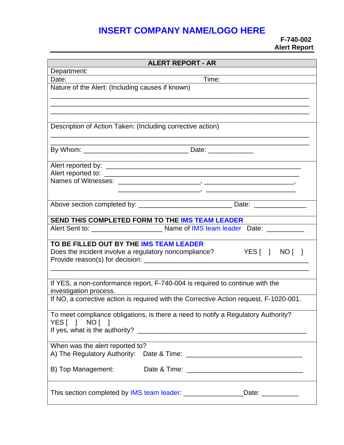# **INSERT COMPANY NAME/LOGO HERE**

# **F-740-002 Alert Report**

| <b>ALERT REPORT - AR</b>                                                               |  |  |  |
|----------------------------------------------------------------------------------------|--|--|--|
| Department:                                                                            |  |  |  |
| Time:<br>Date:                                                                         |  |  |  |
| Nature of the Alert: (Including causes if known)                                       |  |  |  |
|                                                                                        |  |  |  |
|                                                                                        |  |  |  |
|                                                                                        |  |  |  |
| Description of Action Taken: (Including corrective action)                             |  |  |  |
|                                                                                        |  |  |  |
|                                                                                        |  |  |  |
|                                                                                        |  |  |  |
|                                                                                        |  |  |  |
|                                                                                        |  |  |  |
|                                                                                        |  |  |  |
|                                                                                        |  |  |  |
|                                                                                        |  |  |  |
|                                                                                        |  |  |  |
| SEND THIS COMPLETED FORM TO THE IMS TEAM LEADER                                        |  |  |  |
|                                                                                        |  |  |  |
|                                                                                        |  |  |  |
| TO BE FILLED OUT BY THE IMS TEAM LEADER                                                |  |  |  |
| Does the incident involve a regulatory noncompliance?<br>YES[ ] NO[ ]                  |  |  |  |
|                                                                                        |  |  |  |
|                                                                                        |  |  |  |
| If YES, a non-conformance report, F-740-004 is required to continue with the           |  |  |  |
| investigation process.                                                                 |  |  |  |
| If NO, a corrective action is required with the Corrective Action request, F-1020-001. |  |  |  |
|                                                                                        |  |  |  |
| To meet compliance obligations, is there a need to notify a Regulatory Authority?      |  |  |  |
| YES[ ] NO[ ]                                                                           |  |  |  |
|                                                                                        |  |  |  |
|                                                                                        |  |  |  |
| When was the alert reported to?                                                        |  |  |  |
| A) The Regulatory Authority:                                                           |  |  |  |
| B) Top Management:                                                                     |  |  |  |
|                                                                                        |  |  |  |
|                                                                                        |  |  |  |
| Date: ___________                                                                      |  |  |  |
|                                                                                        |  |  |  |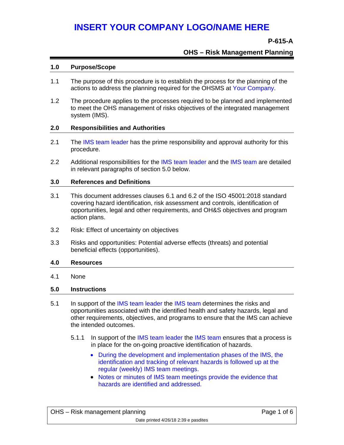## **P-615-A**

## **OHS – Risk Management Planning**

#### **1.0 Purpose/Scope**

- 1.1 The purpose of this procedure is to establish the process for the planning of the actions to address the planning required for the OHSMS at Your Company.
- 1.2 The procedure applies to the processes required to be planned and implemented to meet the OHS management of risks objectives of the integrated management system (IMS).

#### **2.0 Responsibilities and Authorities**

- 2.1 The IMS team leader has the prime responsibility and approval authority for this procedure.
- 2.2 Additional responsibilities for the IMS team leader and the IMS team are detailed in relevant paragraphs of section 5.0 below.

#### **3.0 References and Definitions**

- 3.1 This document addresses clauses 6.1 and 6.2 of the ISO 45001:2018 standard covering hazard identification, risk assessment and controls, identification of opportunities, legal and other requirements, and OH&S objectives and program action plans.
- 3.2 Risk: Effect of uncertainty on objectives
- 3.3 Risks and opportunities: Potential adverse effects (threats) and potential beneficial effects (opportunities).

#### **4.0 Resources**

4.1 None

#### **5.0 Instructions**

- 5.1 In support of the IMS team leader the IMS team determines the risks and opportunities associated with the identified health and safety hazards, legal and other requirements, objectives, and programs to ensure that the IMS can achieve the intended outcomes.
	- 5.1.1 In support of the IMS team leader the IMS team ensures that a process is in place for the on-going proactive identification of hazards.
		- During the development and implementation phases of the IMS, the identification and tracking of relevant hazards is followed up at the regular (weekly) IMS team meetings.
		- Notes or minutes of IMS team meetings provide the evidence that hazards are identified and addressed.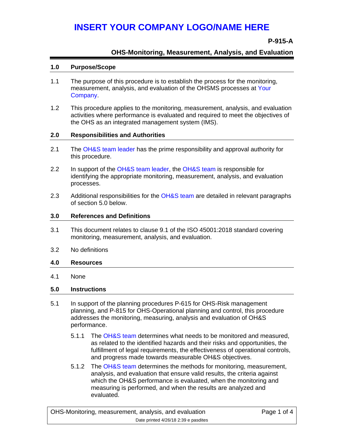# **P-915-A**

# **OHS-Monitoring, Measurement, Analysis, and Evaluation**

# **1.0 Purpose/Scope**

- 1.1 The purpose of this procedure is to establish the process for the monitoring, measurement, analysis, and evaluation of the OHSMS processes at Your Company.
- 1.2 This procedure applies to the monitoring, measurement, analysis, and evaluation activities where performance is evaluated and required to meet the objectives of the OHS as an integrated management system (IMS).

## **2.0 Responsibilities and Authorities**

- 2.1 The OH&S team leader has the prime responsibility and approval authority for this procedure.
- 2.2 In support of the OH&S team leader, the OH&S team is responsible for identifying the appropriate monitoring, measurement, analysis, and evaluation processes.
- 2.3 Additional responsibilities for the OH&S team are detailed in relevant paragraphs of section 5.0 below.

## **3.0 References and Definitions**

- 3.1 This document relates to clause 9.1 of the ISO 45001:2018 standard covering monitoring, measurement, analysis, and evaluation.
- 3.2 No definitions

# **4.0 Resources**

4.1 None

# **5.0 Instructions**

- 5.1 In support of the planning procedures P-615 for OHS-Risk management planning, and P-815 for OHS-Operational planning and control, this procedure addresses the monitoring, measuring, analysis and evaluation of OH&S performance.
	- 5.1.1 The OH&S team determines what needs to be monitored and measured, as related to the identified hazards and their risks and opportunities, the fulfillment of legal requirements, the effectiveness of operational controls, and progress made towards measurable OH&S objectives.
	- 5.1.2 The OH&S team determines the methods for monitoring, measurement, analysis, and evaluation that ensure valid results, the criteria against which the OH&S performance is evaluated, when the monitoring and measuring is performed, and when the results are analyzed and evaluated.

| OHS-Monitoring, measurement, analysis, and evaluation | Page 1 of 4 |
|-------------------------------------------------------|-------------|
| Date printed 4/26/18 2:39 e pasdites                  |             |